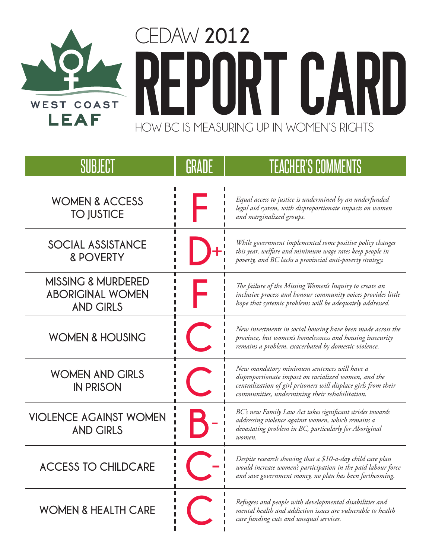

| SUBJECT                                                                      | GRADE | <b>TEACHER'S COMMENTS</b>                                                                                                                                                                                                |
|------------------------------------------------------------------------------|-------|--------------------------------------------------------------------------------------------------------------------------------------------------------------------------------------------------------------------------|
| <b>WOMEN &amp; ACCESS</b><br><b>TO JUSTICE</b>                               |       | Equal access to justice is undermined by an underfunded<br>legal aid system, with disproportionate impacts on women<br>and marginalized groups.                                                                          |
| SOCIAL ASSISTANCE<br><b>&amp; POVERTY</b>                                    |       | While government implemented some positive policy changes<br>this year, welfare and minimum wage rates keep people in<br>poverty, and BC lacks a provincial anti-poverty strategy.                                       |
| <b>MISSING &amp; MURDERED</b><br><b>ABORIGINAL WOMEN</b><br><b>AND GIRLS</b> |       | The failure of the Missing Women's Inquiry to create an<br>inclusive process and honour community voices provides little<br>hope that systemic problems will be adequately addressed.                                    |
| <b>WOMEN &amp; HOUSING</b>                                                   |       | New investments in social housing have been made across the<br>province, but women's homelessness and housing insecurity<br>remains a problem, exacerbated by domestic violence.                                         |
| <b>WOMEN AND GIRLS</b><br><b>IN PRISON</b>                                   |       | New mandatory minimum sentences will have a<br>disproportionate impact on racialized women, and the<br>centralization of girl prisoners will displace girls from their<br>communities, undermining their rehabilitation. |
| <b>VIOLENCE AGAINST WOMEN</b><br><b>AND GIRLS</b>                            |       | BC's new Family Law Act takes significant strides towards<br>addressing violence against women, which remains a<br>devastating problem in BC, particularly for Aboriginal<br>women.                                      |
| <b>ACCESS TO CHILDCARE</b>                                                   |       | Despite research showing that a \$10-a-day child care plan<br>would increase women's participation in the paid labour force<br>and save government money, no plan has been forthcoming.                                  |
| <b>WOMEN &amp; HEALTH CARE</b>                                               |       | Refugees and people with developmental disabilities and<br>mental health and addiction issues are vulnerable to health<br>care funding cuts and unequal services.                                                        |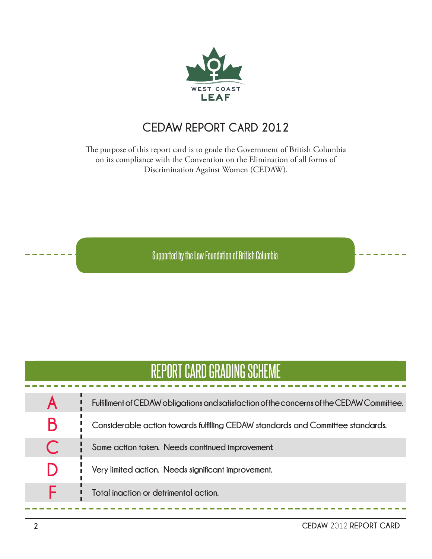

#### **CEDAW** REPORT CARD 2012

The purpose of this report card is to grade the Government of British Columbia on its compliance with the Convention on the Elimination of all forms of Discrimination Against Women (CEDAW).

Supported by the Law Foundation of British Columbia

#### REPORT CARD GRADING SCHEME

|    | Fulfillment of CEDAW obligations and satisfaction of the concerns of the CEDAW Committee. |
|----|-------------------------------------------------------------------------------------------|
|    | Considerable action towards fulfilling CEDAW standards and Committee standards.           |
|    | Some action taken. Needs continued improvement.                                           |
| I) | Very limited action. Needs significant improvement.                                       |
|    | Total inaction or detrimental action.                                                     |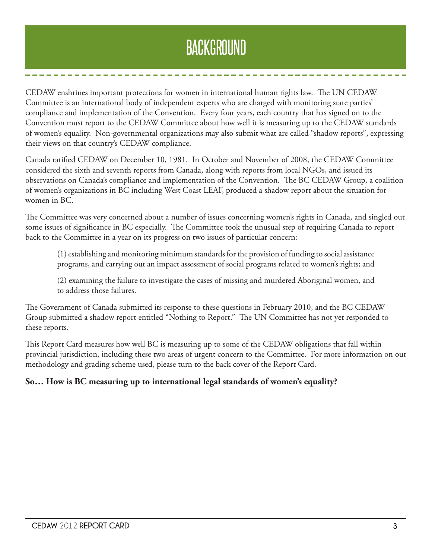# BACKGROUND

CEDAW enshrines important protections for women in international human rights law. The UN CEDAW Committee is an international body of independent experts who are charged with monitoring state parties' compliance and implementation of the Convention. Every four years, each country that has signed on to the Convention must report to the CEDAW Committee about how well it is measuring up to the CEDAW standards of women's equality. Non-governmental organizations may also submit what are called "shadow reports", expressing their views on that country's CEDAW compliance.

Canada ratified CEDAW on December 10, 1981. In October and November of 2008, the CEDAW Committee considered the sixth and seventh reports from Canada, along with reports from local NGOs, and issued its observations on Canada's compliance and implementation of the Convention. The BC CEDAW Group, a coalition of women's organizations in BC including West Coast LEAF, produced a shadow report about the situation for women in BC.

The Committee was very concerned about a number of issues concerning women's rights in Canada, and singled out some issues of significance in BC especially. The Committee took the unusual step of requiring Canada to report back to the Committee in a year on its progress on two issues of particular concern:

(1) establishing and monitoring minimum standards for the provision of funding to social assistance programs, and carrying out an impact assessment of social programs related to women's rights; and

(2) examining the failure to investigate the cases of missing and murdered Aboriginal women, and to address those failures.

The Government of Canada submitted its response to these questions in February 2010, and the BC CEDAW Group submitted a shadow report entitled "Nothing to Report." The UN Committee has not yet responded to these reports.

This Report Card measures how well BC is measuring up to some of the CEDAW obligations that fall within provincial jurisdiction, including these two areas of urgent concern to the Committee. For more information on our methodology and grading scheme used, please turn to the back cover of the Report Card.

#### **So… How is BC measuring up to international legal standards of women's equality?**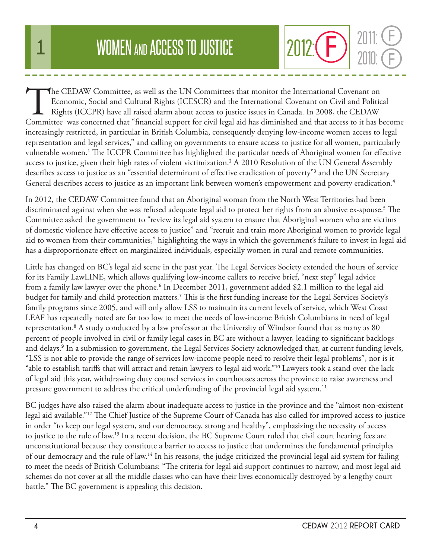The CEDAW Committee, as well as the UN Committees that monitor the International Covenant on Economic, Social and Cultural Rights (ICESCR) and the International Covenant on Civil and Politic Rights (ICCPR) have all raised Economic, Social and Cultural Rights (ICESCR) and the International Covenant on Civil and Political Rights (ICCPR) have all raised alarm about access to justice issues in Canada. In 2008, the CEDAW Committee was concerned that "financial support for civil legal aid has diminished and that access to it has become increasingly restricted, in particular in British Columbia, consequently denying low-income women access to legal representation and legal services," and calling on governments to ensure access to justice for all women, particularly vulnerable women.<sup>1</sup> The ICCPR Committee has highlighted the particular needs of Aboriginal women for effective access to justice, given their high rates of violent victimization.<sup>2</sup> A 2010 Resolution of the UN General Assembly describes access to justice as an "essential determinant of effective eradication of poverty"<sup>3</sup> and the UN Secretary General describes access to justice as an important link between women's empowerment and poverty eradication.<sup>4</sup>

In 2012, the CEDAW Committee found that an Aboriginal woman from the North West Territories had been discriminated against when she was refused adequate legal aid to protect her rights from an abusive ex-spouse.5 The Committee asked the government to "review its legal aid system to ensure that Aboriginal women who are victims of domestic violence have effective access to justice" and "recruit and train more Aboriginal women to provide legal aid to women from their communities," highlighting the ways in which the government's failure to invest in legal aid has a disproportionate effect on marginalized individuals, especially women in rural and remote communities.

Little has changed on BC's legal aid scene in the past year. The Legal Services Society extended the hours of service for its Family LawLINE, which allows qualifying low-income callers to receive brief, "next step" legal advice from a family law lawyer over the phone.<sup>6</sup> In December 2011, government added \$2.1 million to the legal aid budget for family and child protection matters.<sup>7</sup> This is the first funding increase for the Legal Services Society's family programs since 2005, and will only allow LSS to maintain its current levels of service, which West Coast LEAF has repeatedly noted are far too low to meet the needs of low-income British Columbians in need of legal representation.<sup>8</sup> A study conducted by a law professor at the University of Windsor found that as many as 80 percent of people involved in civil or family legal cases in BC are without a lawyer, leading to significant backlogs and delays.<sup>9</sup> In a submission to government, the Legal Services Society acknowledged that, at current funding levels, "LSS is not able to provide the range of services low-income people need to resolve their legal problems", nor is it "able to establish tariffs that will attract and retain lawyers to legal aid work."<sup>10</sup> Lawyers took a stand over the lack of legal aid this year, withdrawing duty counsel services in courthouses across the province to raise awareness and pressure government to address the critical underfunding of the provincial legal aid system.<sup>11</sup>

BC judges have also raised the alarm about inadequate access to justice in the province and the "almost non-existent legal aid available."12 The Chief Justice of the Supreme Court of Canada has also called for improved access to justice in order "to keep our legal system, and our democracy, strong and healthy", emphasizing the necessity of access to justice to the rule of law.13 In a recent decision, the BC Supreme Court ruled that civil court hearing fees are unconstitutional because they constitute a barrier to access to justice that undermines the fundamental principles of our democracy and the rule of law.14 In his reasons, the judge criticized the provincial legal aid system for failing to meet the needs of British Columbians: "The criteria for legal aid support continues to narrow, and most legal aid schemes do not cover at all the middle classes who can have their lives economically destroyed by a lengthy court battle." The BC government is appealing this decision.

2010:

 $2012$ :  $\bigoplus$   $\begin{array}{c} 2011 & \text{C} \\ 2010 & \text{C} \end{array}$ 

F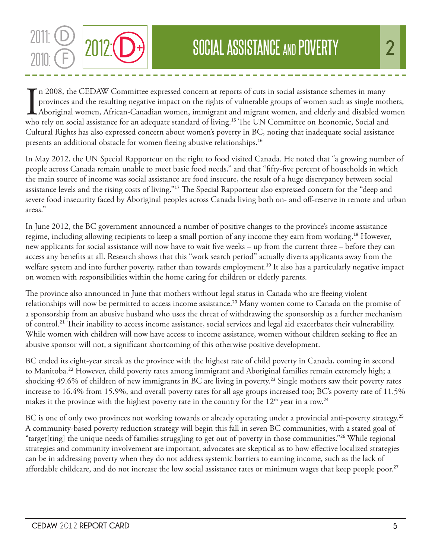

In 2008, the CEDAW Committee expressed concern at reports of cuts in social assistance schemes in many provinces and the resulting negative impact on the rights of vulnerable groups of women such as single moth Aboriginal n 2008, the CEDAW Committee expressed concern at reports of cuts in social assistance schemes in many provinces and the resulting negative impact on the rights of vulnerable groups of women such as single mothers, Aboriginal women, African-Canadian women, immigrant and migrant women, and elderly and disabled women Cultural Rights has also expressed concern about women's poverty in BC, noting that inadequate social assistance presents an additional obstacle for women fleeing abusive relationships.<sup>16</sup>

In May 2012, the UN Special Rapporteur on the right to food visited Canada. He noted that "a growing number of people across Canada remain unable to meet basic food needs," and that "fifty-five percent of households in which the main source of income was social assistance are food insecure, the result of a huge discrepancy between social assistance levels and the rising costs of living."<sup>17</sup> The Special Rapporteur also expressed concern for the "deep and severe food insecurity faced by Aboriginal peoples across Canada living both on- and off-reserve in remote and urban areas."

In June 2012, the BC government announced a number of positive changes to the province's income assistance regime, including allowing recipients to keep a small portion of any income they earn from working.<sup>18</sup> However, new applicants for social assistance will now have to wait five weeks – up from the current three – before they can access any benefits at all. Research shows that this "work search period" actually diverts applicants away from the welfare system and into further poverty, rather than towards employment.<sup>19</sup> It also has a particularly negative impact on women with responsibilities within the home caring for children or elderly parents.

The province also announced in June that mothers without legal status in Canada who are fleeing violent relationships will now be permitted to access income assistance.<sup>20</sup> Many women come to Canada on the promise of a sponsorship from an abusive husband who uses the threat of withdrawing the sponsorship as a further mechanism of control.<sup>21</sup> Their inability to access income assistance, social services and legal aid exacerbates their vulnerability. While women with children will now have access to income assistance, women without children seeking to flee an abusive sponsor will not, a significant shortcoming of this otherwise positive development.

BC ended its eight-year streak as the province with the highest rate of child poverty in Canada, coming in second to Manitoba.<sup>22</sup> However, child poverty rates among immigrant and Aboriginal families remain extremely high; a shocking 49.6% of children of new immigrants in BC are living in poverty.<sup>23</sup> Single mothers saw their poverty rates increase to 16.4% from 15.9%, and overall poverty rates for all age groups increased too; BC's poverty rate of 11.5% makes it the province with the highest poverty rate in the country for the  $12<sup>th</sup>$  year in a row.<sup>24</sup>

BC is one of only two provinces not working towards or already operating under a provincial anti-poverty strategy.<sup>25</sup> A community-based poverty reduction strategy will begin this fall in seven BC communities, with a stated goal of "target[ting] the unique needs of families struggling to get out of poverty in those communities."<sup>26</sup> While regional strategies and community involvement are important, advocates are skeptical as to how effective localized strategies can be in addressing poverty when they do not address systemic barriers to earning income, such as the lack of affordable childcare, and do not increase the low social assistance rates or minimum wages that keep people poor.<sup>27</sup>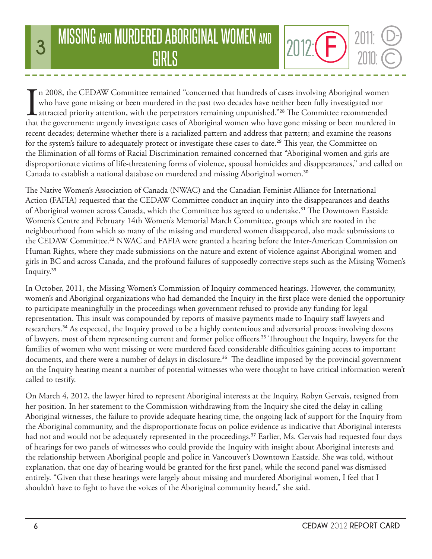# **3 MISSING AND MURDERED ABORIGINAL WOMEN AND 2012: CD** 2011:<br>GIRLS

 $\prod_{\text{that}}$ n 2008, the CEDAW Committee remained "concerned that hundreds of cases involving Aboriginal women who have gone missing or been murdered in the past two decades have neither been fully investigated nor attracted priority attention, with the perpetrators remaining unpunished."<sup>28</sup> The Committee recommended that the government: urgently investigate cases of Aboriginal women who have gone missing or been murdered in recent decades; determine whether there is a racialized pattern and address that pattern; and examine the reasons for the system's failure to adequately protect or investigate these cases to date.<sup>29</sup> This year, the Committee on the Elimination of all forms of Racial Discrimination remained concerned that "Aboriginal women and girls are disproportionate victims of life-threatening forms of violence, spousal homicides and disappearances," and called on Canada to establish a national database on murdered and missing Aboriginal women.<sup>30</sup>

The Native Women's Association of Canada (NWAC) and the Canadian Feminist Alliance for International Action (FAFIA) requested that the CEDAW Committee conduct an inquiry into the disappearances and deaths of Aboriginal women across Canada, which the Committee has agreed to undertake.<sup>31</sup> The Downtown Eastside Women's Centre and February 14th Women's Memorial March Committee, groups which are rooted in the neighbourhood from which so many of the missing and murdered women disappeared, also made submissions to the CEDAW Committee.<sup>32</sup> NWAC and FAFIA were granted a hearing before the Inter-American Commission on Human Rights, where they made submissions on the nature and extent of violence against Aboriginal women and girls in BC and across Canada, and the profound failures of supposedly corrective steps such as the Missing Women's Inquiry.<sup>33</sup>

In October, 2011, the Missing Women's Commission of Inquiry commenced hearings. However, the community, women's and Aboriginal organizations who had demanded the Inquiry in the first place were denied the opportunity to participate meaningfully in the proceedings when government refused to provide any funding for legal representation. This insult was compounded by reports of massive payments made to Inquiry staff lawyers and researchers.<sup>34</sup> As expected, the Inquiry proved to be a highly contentious and adversarial process involving dozens of lawyers, most of them representing current and former police officers.<sup>35</sup> Throughout the Inquiry, lawyers for the families of women who went missing or were murdered faced considerable difficulties gaining access to important documents, and there were a number of delays in disclosure.<sup>36</sup> The deadline imposed by the provincial government on the Inquiry hearing meant a number of potential witnesses who were thought to have critical information weren't called to testify.

On March 4, 2012, the lawyer hired to represent Aboriginal interests at the Inquiry, Robyn Gervais, resigned from her position. In her statement to the Commission withdrawing from the Inquiry she cited the delay in calling Aboriginal witnesses, the failure to provide adequate hearing time, the ongoing lack of support for the Inquiry from the Aboriginal community, and the disproportionate focus on police evidence as indicative that Aboriginal interests had not and would not be adequately represented in the proceedings.<sup>37</sup> Earlier, Ms. Gervais had requested four days of hearings for two panels of witnesses who could provide the Inquiry with insight about Aboriginal interests and the relationship between Aboriginal people and police in Vancouver's Downtown Eastside. She was told, without explanation, that one day of hearing would be granted for the first panel, while the second panel was dismissed entirely. "Given that these hearings were largely about missing and murdered Aboriginal women, I feel that I shouldn't have to fight to have the voices of the Aboriginal community heard," she said.

2010:

 $2012$ :  $\bigoplus$   $\bigoplus_{2010}$ :  $\bigodot$ 

D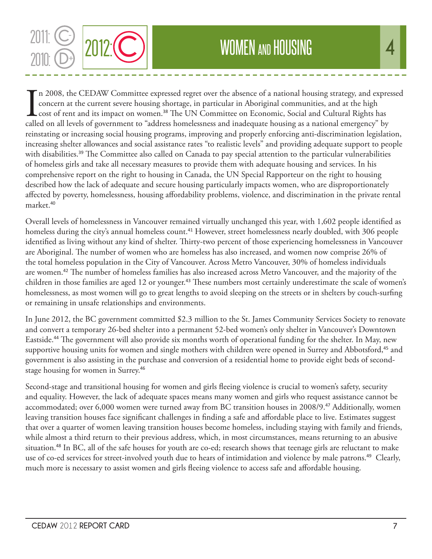

 $\prod_{\text{called}}$ n 2008, the CEDAW Committee expressed regret over the absence of a national housing strategy, and expressed concern at the current severe housing shortage, in particular in Aboriginal communities, and at the high cost of rent and its impact on women.<sup>38</sup> The UN Committee on Economic, Social and Cultural Rights has called on all levels of government to "address homelessness and inadequate housing as a national emergency" by reinstating or increasing social housing programs, improving and properly enforcing anti-discrimination legislation, increasing shelter allowances and social assistance rates "to realistic levels" and providing adequate support to people with disabilities.<sup>39</sup> The Committee also called on Canada to pay special attention to the particular vulnerabilities of homeless girls and take all necessary measures to provide them with adequate housing and services. In his comprehensive report on the right to housing in Canada, the UN Special Rapporteur on the right to housing described how the lack of adequate and secure housing particularly impacts women, who are disproportionately affected by poverty, homelessness, housing affordability problems, violence, and discrimination in the private rental market.<sup>40</sup>

Overall levels of homelessness in Vancouver remained virtually unchanged this year, with 1,602 people identified as homeless during the city's annual homeless count.<sup>41</sup> However, street homelessness nearly doubled, with 306 people identified as living without any kind of shelter. Thirty-two percent of those experiencing homelessness in Vancouver are Aboriginal. The number of women who are homeless has also increased, and women now comprise 26% of the total homeless population in the City of Vancouver. Across Metro Vancouver, 30% of homeless individuals are women.<sup>42</sup> The number of homeless families has also increased across Metro Vancouver, and the majority of the children in those families are aged 12 or younger.<sup>43</sup> These numbers most certainly underestimate the scale of women's homelessness, as most women will go to great lengths to avoid sleeping on the streets or in shelters by couch-surfing or remaining in unsafe relationships and environments.

In June 2012, the BC government committed \$2.3 million to the St. James Community Services Society to renovate and convert a temporary 26-bed shelter into a permanent 52-bed women's only shelter in Vancouver's Downtown Eastside.<sup>44</sup> The government will also provide six months worth of operational funding for the shelter. In May, new supportive housing units for women and single mothers with children were opened in Surrey and Abbotsford,<sup>45</sup> and government is also assisting in the purchase and conversion of a residential home to provide eight beds of secondstage housing for women in Surrey.<sup>46</sup>

Second-stage and transitional housing for women and girls fleeing violence is crucial to women's safety, security and equality. However, the lack of adequate spaces means many women and girls who request assistance cannot be accommodated; over 6,000 women were turned away from BC transition houses in 2008/9.<sup>47</sup> Additionally, women leaving transition houses face significant challenges in finding a safe and affordable place to live. Estimates suggest that over a quarter of women leaving transition houses become homeless, including staying with family and friends, while almost a third return to their previous address, which, in most circumstances, means returning to an abusive situation.<sup>48</sup> In BC, all of the safe houses for youth are co-ed; research shows that teenage girls are reluctant to make use of co-ed services for street-involved youth due to hears of intimidation and violence by male patrons.<sup>49</sup> Clearly, much more is necessary to assist women and girls fleeing violence to access safe and affordable housing.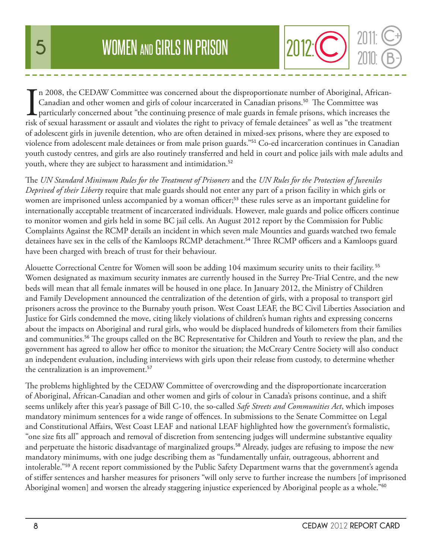In 2008, the CEDAW Committee was concerned about the disproportionate number of Aboriginal, African-Canadian and other women and girls of colour incarcerated in Canadian prisons.<sup>50</sup> The Committee was particularly concerne n 2008, the CEDAW Committee was concerned about the disproportionate number of Aboriginal, African-Canadian and other women and girls of colour incarcerated in Canadian prisons.<sup>50</sup> The Committee was **L** particularly concerned about "the continuing presence of male guards in female prisons, which increases the of adolescent girls in juvenile detention, who are often detained in mixed-sex prisons, where they are exposed to violence from adolescent male detainees or from male prison guards."<sup>51</sup> Co-ed incarceration continues in Canadian youth custody centres, and girls are also routinely transferred and held in court and police jails with male adults and youth, where they are subject to harassment and intimidation.<sup>52</sup>

The *UN Standard Minimum Rules for the Treatment of Prisoners* and the *UN Rules for the Protection of Juveniles Deprived of their Liberty* require that male guards should not enter any part of a prison facility in which girls or women are imprisoned unless accompanied by a woman officer;<sup>53</sup> these rules serve as an important guideline for internationally acceptable treatment of incarcerated individuals. However, male guards and police officers continue to monitor women and girls held in some BC jail cells. An August 2012 report by the Commission for Public Complaints Against the RCMP details an incident in which seven male Mounties and guards watched two female detainees have sex in the cells of the Kamloops RCMP detachment.<sup>54</sup> Three RCMP officers and a Kamloops guard have been charged with breach of trust for their behaviour.

Alouette Correctional Centre for Women will soon be adding 104 maximum security units to their facility.<sup>55</sup> Women designated as maximum security inmates are currently housed in the Surrey Pre-Trial Centre, and the new beds will mean that all female inmates will be housed in one place. In January 2012, the Ministry of Children and Family Development announced the centralization of the detention of girls, with a proposal to transport girl prisoners across the province to the Burnaby youth prison. West Coast LEAF, the BC Civil Liberties Association and Justice for Girls condemned the move, citing likely violations of children's human rights and expressing concerns about the impacts on Aboriginal and rural girls, who would be displaced hundreds of kilometers from their families and communities.<sup>56</sup> The groups called on the BC Representative for Children and Youth to review the plan, and the government has agreed to allow her office to monitor the situation; the McCreary Centre Society will also conduct an independent evaluation, including interviews with girls upon their release from custody, to determine whether the centralization is an improvement.<sup>57</sup>

The problems highlighted by the CEDAW Committee of overcrowding and the disproportionate incarceration of Aboriginal, African-Canadian and other women and girls of colour in Canada's prisons continue, and a shift seems unlikely after this year's passage of Bill C-10, the so-called *Safe Streets and Communities Act*, which imposes mandatory minimum sentences for a wide range of offences. In submissions to the Senate Committee on Legal and Constitutional Affairs, West Coast LEAF and national LEAF highlighted how the government's formalistic, "one size fits all" approach and removal of discretion from sentencing judges will undermine substantive equality and perpetuate the historic disadvantage of marginalized groups.<sup>58</sup> Already, judges are refusing to impose the new mandatory minimums, with one judge describing them as "fundamentally unfair, outrageous, abhorrent and intolerable."<sup>59</sup> A recent report commissioned by the Public Safety Department warns that the government's agenda of stiffer sentences and harsher measures for prisoners "will only serve to further increase the numbers [of imprisoned Aboriginal women] and worsen the already staggering injustice experienced by Aboriginal people as a whole."<sup>60</sup>

2010:

2012: C **2011: C** 

C

**+**

B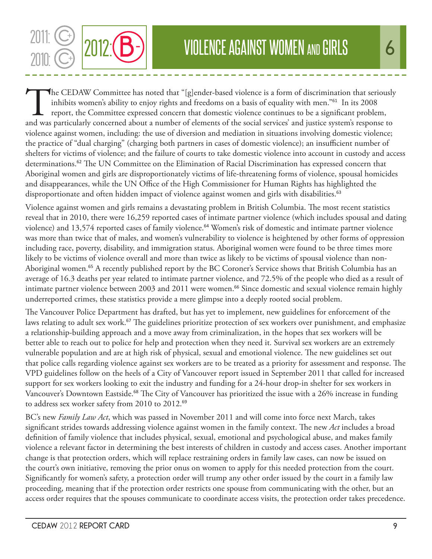The CEDAW Committee has noted that "[g]ender-based violence is a form of discrimination that seriously inhibits women's ability to enjoy rights and freedoms on a basis of equality with men."<sup>61</sup> In its 2008 report, the Committee expressed concern that domestic violence continues to be a significant problem, and was particularly concerned about a number of elements of the social services' and justice system's response to violence against women, including: the use of diversion and mediation in situations involving domestic violence; the practice of "dual charging" (charging both partners in cases of domestic violence); an insufficient number of shelters for victims of violence; and the failure of courts to take domestic violence into account in custody and access determinations.<sup>62</sup> The UN Committee on the Elimination of Racial Discrimination has expressed concern that Aboriginal women and girls are disproportionately victims of life-threatening forms of violence, spousal homicides and disappearances, while the UN Office of the High Commissioner for Human Rights has highlighted the disproportionate and often hidden impact of violence against women and girls with disabilities.<sup>63</sup>

Violence against women and girls remains a devastating problem in British Columbia. The most recent statistics reveal that in 2010, there were 16,259 reported cases of intimate partner violence (which includes spousal and dating violence) and 13,574 reported cases of family violence.<sup>64</sup> Women's risk of domestic and intimate partner violence was more than twice that of males, and women's vulnerability to violence is heightened by other forms of oppression including race, poverty, disability, and immigration status. Aboriginal women were found to be three times more likely to be victims of violence overall and more than twice as likely to be victims of spousal violence than non-Aboriginal women.<sup>65</sup> A recently published report by the BC Coroner's Service shows that British Columbia has an average of 16.3 deaths per year related to intimate partner violence, and 72.5% of the people who died as a result of intimate partner violence between 2003 and 2011 were women.<sup>66</sup> Since domestic and sexual violence remain highly underreported crimes, these statistics provide a mere glimpse into a deeply rooted social problem.

The Vancouver Police Department has drafted, but has yet to implement, new guidelines for enforcement of the laws relating to adult sex work.<sup>67</sup> The guidelines prioritize protection of sex workers over punishment, and emphasize a relationship-building approach and a move away from criminalization, in the hopes that sex workers will be better able to reach out to police for help and protection when they need it. Survival sex workers are an extremely vulnerable population and are at high risk of physical, sexual and emotional violence. The new guidelines set out that police calls regarding violence against sex workers are to be treated as a priority for assessment and response. The VPD guidelines follow on the heels of a City of Vancouver report issued in September 2011 that called for increased support for sex workers looking to exit the industry and funding for a 24-hour drop-in shelter for sex workers in Vancouver's Downtown Eastside.<sup>68</sup> The City of Vancouver has prioritized the issue with a 26% increase in funding to address sex worker safety from 2010 to 2012.<sup>69</sup>

BC's new *Family Law Act*, which was passed in November 2011 and will come into force next March, takes significant strides towards addressing violence against women in the family context. The new *Act* includes a broad definition of family violence that includes physical, sexual, emotional and psychological abuse, and makes family violence a relevant factor in determining the best interests of children in custody and access cases. Another important change is that protection orders, which will replace restraining orders in family law cases, can now be issued on the court's own initiative, removing the prior onus on women to apply for this needed protection from the court. Significantly for women's safety, a protection order will trump any other order issued by the court in a family law proceeding, meaning that if the protection order restricts one spouse from communicating with the other, but an access order requires that the spouses communicate to coordinate access visits, the protection order takes precedence.

2011: C<sup>++</sup> 2012: **B**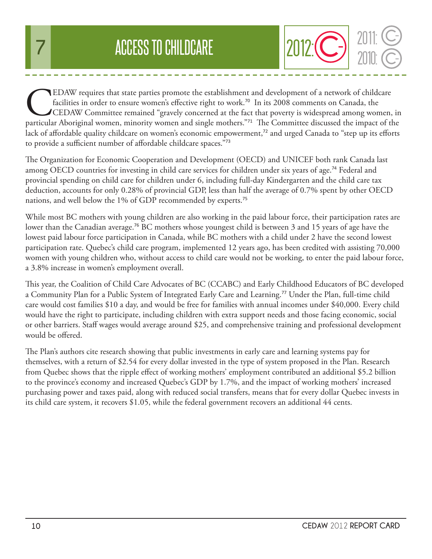EDAW requires that state parties promote the establishment and development of a network of childcare facilities in order to ensure women's effective right to work.<sup>70</sup> In its 2008 comments on Canada, the CEDAW Committee re facilities in order to ensure women's effective right to work.<sup>70</sup> In its 2008 comments on Canada, the CEDAW Committee remained "gravely concerned at the fact that poverty is widespread among women, in lack of affordable quality childcare on women's economic empowerment,<sup>72</sup> and urged Canada to "step up its efforts to provide a sufficient number of affordable childcare spaces."<sup>73</sup>

The Organization for Economic Cooperation and Development (OECD) and UNICEF both rank Canada last among OECD countries for investing in child care services for children under six years of age.<sup>74</sup> Federal and provincial spending on child care for children under 6, including full-day Kindergarten and the child care tax deduction, accounts for only 0.28% of provincial GDP, less than half the average of 0.7% spent by other OECD nations, and well below the 1% of GDP recommended by experts.<sup>75</sup>

While most BC mothers with young children are also working in the paid labour force, their participation rates are lower than the Canadian average.<sup>76</sup> BC mothers whose youngest child is between 3 and 15 years of age have the lowest paid labour force participation in Canada, while BC mothers with a child under 2 have the second lowest participation rate. Quebec's child care program, implemented 12 years ago, has been credited with assisting 70,000 women with young children who, without access to child care would not be working, to enter the paid labour force, a 3.8% increase in women's employment overall.

This year, the Coalition of Child Care Advocates of BC (CCABC) and Early Childhood Educators of BC developed a Community Plan for a Public System of Integrated Early Care and Learning.<sup>77</sup> Under the Plan, full-time child care would cost families \$10 a day, and would be free for families with annual incomes under \$40,000. Every child would have the right to participate, including children with extra support needs and those facing economic, social or other barriers. Staff wages would average around \$25, and comprehensive training and professional development would be offered.

The Plan's authors cite research showing that public investments in early care and learning systems pay for themselves, with a return of \$2.54 for every dollar invested in the type of system proposed in the Plan. Research from Quebec shows that the ripple effect of working mothers' employment contributed an additional \$5.2 billion to the province's economy and increased Quebec's GDP by 1.7%, and the impact of working mothers' increased purchasing power and taxes paid, along with reduced social transfers, means that for every dollar Quebec invests in its child care system, it recovers \$1.05, while the federal government recovers an additional 44 cents.

2010:

2012:**C-** 2011: C-

C

**-**

C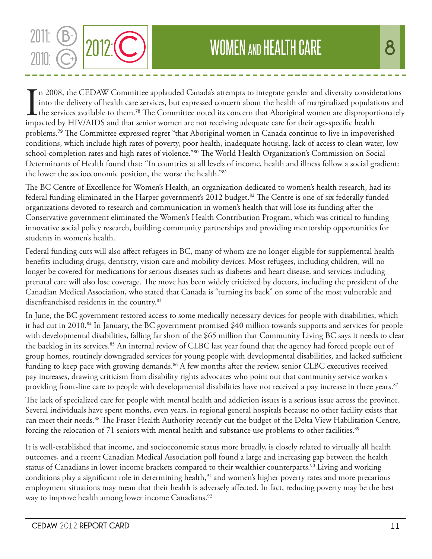

In 2008, the CEDAW Committee applauded Canada's attempts to integrate gender and diversity consideration into the delivery of health care services, but expressed concern about the health of marginalized population the serv n 2008, the CEDAW Committee applauded Canada's attempts to integrate gender and diversity considerations into the delivery of health care services, but expressed concern about the health of marginalized populations and  $\mathsf L$  the services available to them.<sup>78</sup> The Committee noted its concern that Aboriginal women are disproportionately problems.<sup>79</sup> The Committee expressed regret "that Aboriginal women in Canada continue to live in impoverished conditions, which include high rates of poverty, poor health, inadequate housing, lack of access to clean water, low school-completion rates and high rates of violence."80 The World Health Organization's Commission on Social Determinants of Health found that: "In countries at all levels of income, health and illness follow a social gradient: the lower the socioeconomic position, the worse the health."<sup>81</sup>

The BC Centre of Excellence for Women's Health, an organization dedicated to women's health research, had its federal funding eliminated in the Harper government's 2012 budget.<sup>82</sup> The Centre is one of six federally funded organizations devoted to research and communication in women's health that will lose its funding after the Conservative government eliminated the Women's Health Contribution Program, which was critical to funding innovative social policy research, building community partnerships and providing mentorship opportunities for students in women's health.

Federal funding cuts will also affect refugees in BC, many of whom are no longer eligible for supplemental health benefits including drugs, dentistry, vision care and mobility devices. Most refugees, including children, will no longer be covered for medications for serious diseases such as diabetes and heart disease, and services including prenatal care will also lose coverage. The move has been widely criticized by doctors, including the president of the Canadian Medical Association, who stated that Canada is "turning its back" on some of the most vulnerable and disenfranchised residents in the country.<sup>83</sup>

In June, the BC government restored access to some medically necessary devices for people with disabilities, which it had cut in 2010.<sup>84</sup> In January, the BC government promised \$40 million towards supports and services for people with developmental disabilities, falling far short of the \$65 million that Community Living BC says it needs to clear the backlog in its services.<sup>85</sup> An internal review of CLBC last year found that the agency had forced people out of group homes, routinely downgraded services for young people with developmental disabilities, and lacked sufficient funding to keep pace with growing demands.<sup>86</sup> A few months after the review, senior CLBC executives received pay increases, drawing criticism from disability rights advocates who point out that community service workers providing front-line care to people with developmental disabilities have not received a pay increase in three years.<sup>87</sup>

The lack of specialized care for people with mental health and addiction issues is a serious issue across the province. Several individuals have spent months, even years, in regional general hospitals because no other facility exists that can meet their needs.<sup>88</sup> The Fraser Health Authority recently cut the budget of the Delta View Habilitation Centre, forcing the relocation of 71 seniors with mental health and substance use problems to other facilities.<sup>89</sup>

It is well-established that income, and socioeconomic status more broadly, is closely related to virtually all health outcomes, and a recent Canadian Medical Association poll found a large and increasing gap between the health status of Canadians in lower income brackets compared to their wealthier counterparts.<sup>90</sup> Living and working conditions play a significant role in determining health,<sup>91</sup> and women's higher poverty rates and more precarious employment situations may mean that their health is adversely affected. In fact, reducing poverty may be the best way to improve health among lower income Canadians.<sup>92</sup>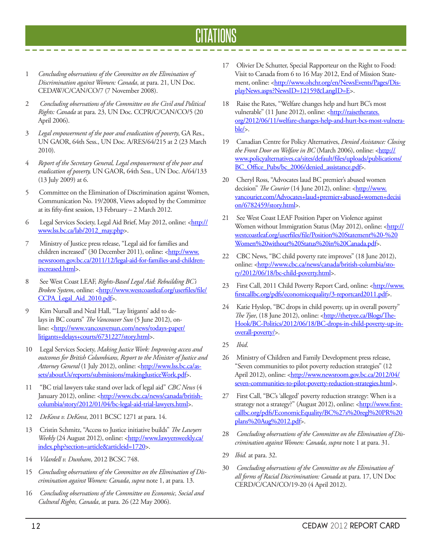#### CITATIONS

- 1 *Concluding observations of the Committee on the Elimination of Discrimination against Women: Canada*, at para. 21, UN Doc. CEDAW/C/CAN/CO/7 (7 November 2008).
- 2 *Concluding observations of the Committee on the Civil and Political Rights: Canada* at para. 23, UN Doc. CCPR/C/CAN/CO/5 (20 April 2006).
- 3 *Legal empowerment of the poor and eradication of poverty*, GA Res., UN GAOR, 64th Sess., UN Doc. A/RES/64/215 at 2 (23 March 2010).
- 4 *Report of the Secretary General, Legal empowerment of the poor and eradication of poverty,* UN GAOR, 64th Sess., UN Doc. A/64/133 (13 July 2009) at 6.
- 5 Committee on the Elimination of Discrimination against Women, Communication No. 19/2008, Views adopted by the Committee at its fifty-first session, 13 February – 2 March 2012.
- 6 Legal Services Society, Legal Aid Brief, May 2012, online: <http:// www.lss.bc.ca/lab/2012\_may.php>.
- 7 Ministry of Justice press release, "Legal aid for families and children increased" (30 December 2011), online: <http://www. newsroom.gov.bc.ca/2011/12/legal-aid-for-families-and-childrenincreased.html>.
- 8 See West Coast LEAF, *Rights-Based Legal Aid*: *Rebuilding BC's*  Broken System, online: <http://www.westcoastleaf.org/userfiles/file/ CCPA Legal Aid 2010.pdf>.
- 9 Kim Nursall and Neal Hall, "'Lay litigants' add to delays in BC courts" *The Vancouver Sun* (5 June 2012), online: <http://www.vancouversun.com/news/todays-paper/ litigants+delays+courts/6731227/story.html>.
- 10 Legal Services Society, *Making Justice Work: Improving access and outcomes for British Columbians, Report to the Minister of Justice and*  Attorney General (1 July 2012), online: <http://www.lss.bc.ca/assets/aboutUs/reports/submissions/makingJusticeWork.pdf>.
- 11 "BC trial lawyers take stand over lack of legal aid" *CBC News* (4 January 2012), online: <**http://www.cbc.ca/news/canada/british**columbia/story/2012/01/04/bc-legal-aid-trial-lawyers.html>.
- 12 *DeKova v. DeKova*, 2011 BCSC 1271 at para. 14.
- 13 Cristin Schmitz, "Access to Justice initiative builds" *The Lawyers Weekly* (24 August 2012), online: <http://www.lawyersweekly.ca/ index.php?section=article&articleid=1720>.
- 14 *Vilardell v. Dunham*, 2012 BCSC 748.
- 15 *Concluding observations of the Committee on the Elimination of Discrimination against Women: Canada*, *supra* note 1, at para. 13.
- 16 *Concluding observations of the Committee on Economic, Social and Cultural Rights, Canada*, at para. 26 (22 May 2006).

17 Olivier De Schutter, Special Rapporteur on the Right to Food: Visit to Canada from 6 to 16 May 2012, End of Mission Statement, online: <http://www.ohchr.org/en/NewsEvents/Pages/DisplayNews.aspx?NewsID=12159&LangID=E>.

------------------

- 18 Raise the Rates, "Welfare changes help and hurt BC's most vulnerable" (11 June 2012), online: <http://raisetherates. org/2012/06/11/welfare-changes-help-and-hurt-bcs-most-vulnerable/>.
- 19 Canadian Centre for Policy Alternatives, *Denied Assistance: Closing the Front Door on Welfare in BC* (March 2006), online: <**http://** www.policyalternatives.ca/sites/default/files/uploads/publications/ BC\_Office\_Pubs/bc\_2006/denied\_assistance.pdf>.
- 20 Cheryl Ross, "Advocates laud BC premier's abused women decision" *The Courier* (14 June 2012), online: <http://www. vancourier.com/Advocates+laud+premier+abused+women+decisi on/6782459/story.html>.
- 21 See West Coast LEAF Position Paper on Violence against Women without Immigration Status (May 2012), online: <http:// westcoastleaf.org/userfiles/file/Position%20Statement%20-%20 Women%20without%20Status%20in%20Canada.pdf>.
- 22 CBC News, "BC child poverty rate improves" (18 June 2012), online: <http://www.cbc.ca/news/canada/british-columbia/story/2012/06/18/bc-child-poverty.html>.
- 23 First Call, 2011 Child Poverty Report Card, online: <http://www. firstcallbc.org/pdfs/economicequality/3-reportcard2011.pdf>.
- 24 Katie Hyslop, "BC drops in child poverty, up in overall poverty" *The Tyee*, (18 June 2012), online: <http://thetyee.ca/Blogs/The-Hook/BC-Politics/2012/06/18/BC-drops-in-child-poverty-up-inoverall-poverty/>.
- 25 *Ibid*.
- 26 Ministry of Children and Family Development press release, "Seven communities to pilot poverty reduction strategies" (12 April 2012), online: <http://www.newsroom.gov.bc.ca/2012/04/ seven-communities-to-pilot-poverty-reduction-strategies.html>.
- 27 First Call, "BC's 'alleged' poverty reduction strategy: When is a strategy not a strategy?" (August 2012), online: <http://www.firstcallbc.org/pdfs/EconomicEquality/BC%27s%20regl%20PR%20 plans%20Aug%2012.pdf>.
- 28 *Concluding observations of the Committee on the Elimination of Discrimination against Women: Canada*, *supra* note 1 at para. 31.
- 29 *Ibid.* at para. 32.
- 30 *Concluding observations of the Committee on the Elimination of all forms of Racial Discrimination: Canada* at para. 17, UN Doc CERD/C/CAN/CO/19-20 (4 April 2012).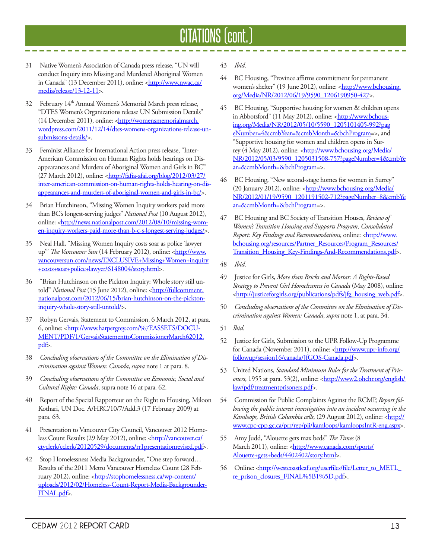### CITATIONS (cont.)

- 31 Native Women's Association of Canada press release, "UN will conduct Inquiry into Missing and Murdered Aboriginal Women in Canada" (13 December 2011), online: <**http://www.nwac.ca/** media/release/13-12-11>.
- 32 February 14th Annual Women's Memorial March press release, "DTES Women's Organizations release UN Submission Details" (14 December 2011), online: <http://womensmemorialmarch. wordpress.com/2011/12/14/dtes-womens-organizations-release-unsubmissons-details/>.
- 33 Feminist Alliance for International Action press release, "Inter-American Commission on Human Rights holds hearings on Disappearances and Murders of Aboriginal Women and Girls in BC" (27 March 2012), online: <http://fafia-afai.org/blog/2012/03/27/ inter-american-commission-on-human-rights-holds-hearing-on-disappearances-and-murders-of-aboriginal-women-and-girls-in-bc/>.
- 34 Brian Hutchinson, "Missing Women Inquiry workers paid more than BC's longest-serving judges" *National Post* (10 August 2012), online: <http://news.nationalpost.com/2012/08/10/missing-women-inquiry-workers-paid-more-than-b-c-s-longest-serving-judges/>.
- 35 Neal Hall, "Missing Women Inquiry costs soar as police 'lawyer up" The Vancouver Sun (14 February 2012), online: <http://www. vancouversun.com/news/EXCLUSIVE+Missing+Women+inquiry +costs+soar+police+lawyer/6148004/story.html>.
- 36 "Brian Hutchinson on the Pickton Inquiry: Whole story still untold" National Post (15 June 2012), online: <http://fullcomment. nationalpost.com/2012/06/15/brian-hutchinson-on-the-picktoninquiry-whole-story-still-untold/>.
- 37 Robyn Gervais, Statement to Commission, 6 March 2012, at para. 6, online: <http://www.harpergrey.com/%7EASSETS/DOCU-MENT/PDF/1/GervaisStatementtoCommissionerMarch62012. pdf>.
- 38 *Concluding observations of the Committee on the Elimination of Discrimination against Women: Canada*, *supra* note 1 at para. 8.
- 39 *Concluding observations of the Committee on Economic, Social and Cultural Rights: Canada*, supra note 16 at para. 62.
- 40 Report of the Special Rapporteur on the Right to Housing, Miloon Kothari, UN Doc. A/HRC/10/7/Add.3 (17 February 2009) at para. 63.
- 41 Presentation to Vancouver City Council, Vancouver 2012 Homeless Count Results (29 May 2012), online: <http://vancouver.ca/ ctyclerk/cclerk/20120529/documents/rr1presentationrevised.pdf>.
- 42 Stop Homelessness Media Backgrounder, "One step forward… Results of the 2011 Metro Vancouver Homeless Count (28 February 2012), online: <http://stophomelessness.ca/wp-content/ uploads/2012/02/Homeless-Count-Report-Media-Backgrounder-FINAL.pdf>.
- 43 *Ibid*.
- 44 BC Housing, "Province affirms commitment for permanent women's shelter" (19 June 2012), online: <http://www.bchousing. org/Media/NR/2012/06/19/9590\_1206190950-427>.
- 45 BC Housing, "Supportive housing for women & children opens in Abbotsford" (11 May 2012), online: <http://www.bchousing.org/Media/NR/2012/05/10/5590\_1205101405-992?pag eNumber=4&cmbYear=&cmbMonth=&bchProgram=>, and "Supportive housing for women and children opens in Surrey (4 May 2012), online: <http://www.bchousing.org/Medial NR/2012/05/03/9590\_1205031508-757?pageNumber=4&cmbYe ar=&cmbMonth=&bchProgram=>.
- 46 BC Housing, "New second-stage homes for women in Surrey" (20 January 2012), online: <http://www.bchousing.org/Media/ NR/2012/01/19/9590\_1201191502-712?pageNumber=8&cmbYe ar=&cmbMonth=&bchProgram=>.
- 47 BC Housing and BC Society of Transition Houses, *Review of Women's Transition Housing and Supports Program, Consolidated Report: Key Findings and Recommendations*, online: <http://www. bchousing.org/resources/Partner\_Resources/Program\_Resources/ Transition\_Housing\_Key-Findings-And-Recommendations.pdf>.
- 48 *Ibid*.
- 49 Justice for Girls, *More than Bricks and Mortar: A Rights-Based Strategy to Prevent Girl Homelessness in Canada* (May 2008), online: <http://justiceforgirls.org/publications/pdfs/jfg\_housing\_web.pdf>.
- 50 *Concluding observations of the Committee on the Elimination of Discrimination against Women: Canada*, *supra* note 1, at para. 34.
- 51 *Ibid.*
- 52 Justice for Girls, Submission to the UPR Follow-Up Programme for Canada (November 2011), online: <http://www.upr-info.org/ followup/session16/canada/JfGOS-Canada.pdf>.
- 53 United Nations, *Standard Minimum Rules for the Treatment of Prisoners*, 1955 at para. 53(2), online: <**http://www2.ohchr.org/english/** law/pdf/treatmentprisoners.pdf>.
- 54 Commission for Public Complaints Against the RCMP, *Report following the public interest investigation into an incident occurring in the*  Kamloops, British Columbia cells, (29 August 2012), online: <http:// www.cpc-cpp.gc.ca/prr/rep/pii/kamloops/kamloopsIntR-eng.aspx>.
- 55 Amy Judd, "Alouette gets max beds" *The Times* (8 March 2011), online: <http://www.canada.com/sports/ Alouette+gets+beds/4402402/story.html>.
- 56 Online: <http://westcoastleaf.org/userfiles/file/Letter\_to\_METL\_ re\_prison\_closures\_FINAL%5B1%5D.pdf>.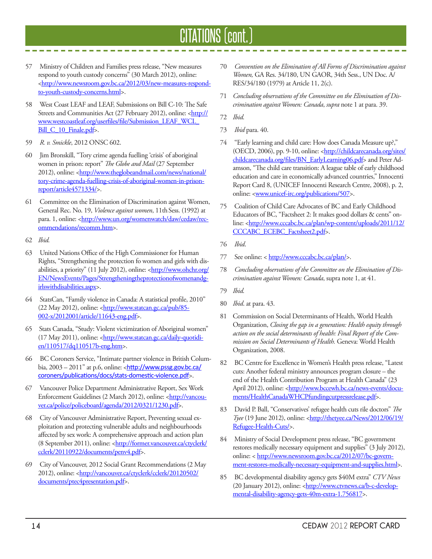### CITATIONS (cont.)

- 57 Ministry of Children and Families press release, "New measures respond to youth custody concerns" (30 March 2012), online: <http://www.newsroom.gov.bc.ca/2012/03/new-measures-respondto-youth-custody-concerns.html>.
- 58 West Coast LEAF and LEAF, Submissions on Bill C-10: The Safe Streets and Communities Act (27 February 2012), online: <http:// www.westcoastleaf.org/userfiles/file/Submission\_LEAF\_WCL\_ Bill\_C\_10\_Finale.pdf>.
- 59 *R. v. Smickle*, 2012 ONSC 602.
- 60 Jim Bronskill, "Tory crime agenda fuelling 'crisis' of aboriginal women in prison: report" *The Globe and Mail* (27 September 2012), online: <http://www.theglobeandmail.com/news/national/ tory-crime-agenda-fuelling-crisis-of-aboriginal-women-in-prisonreport/article4571334/>.
- 61 Committee on the Elimination of Discrimination against Women, General Rec. No. 19, *Violence against women*, 11th Sess. (1992) at para. 1, online: <http://www.un.org/womenwatch/daw/cedaw/recommendations/recomm.htm>.
- 62 *Ibid.*
- 63 United Nations Office of the High Commissioner for Human Rights, "Strengthening the protection fo women and girls with disabilities, a priority" (11 July 2012), online: <http://www.ohchr.org/ EN/NewsEvents/Pages/Strengtheningtheprotectionofwomenandgirlswithdisabilities.aspx>.
- 64 StatsCan, "Family violence in Canada: A statistical profile, 2010" (22 May 2012), online: <http://www.statcan.gc.ca/pub/85-002-x/2012001/article/11643-eng.pdf>.
- 65 Stats Canada, "Study: Violent victimization of Aboriginal women" (17 May 2011), online: <http://www.statcan.gc.ca/daily-quotidien/110517/dq110517b-eng.htm>.
- 66 BC Coroners Service, "Intimate partner violence in British Columbia,  $2003 - 2011$ " at p.6, online:  $\frac{\text{http://www.pssg.gov.bc.ca/}}{\text{http://www.pssg.gov.bc.ca/}}$ coroners/publications/docs/stats-domestic-violence.pdf>.
- 67 Vancouver Police Department Administrative Report, Sex Work Enforcement Guidelines (2 March 2012), online: <http://vancouver.ca/police/policeboard/agenda/2012/0321/1230.pdf>.
- 68 City of Vancouver Administrative Report, Preventing sexual exploitation and protecting vulnerable adults and neighbourhoods affected by sex work: A comprehensive approach and action plan (8 September 2011), online: <http://former.vancouver.ca/ctyclerk/ cclerk/20110922/documents/penv4.pdf>.
- 69 City of Vancouver, 2012 Social Grant Recommendations (2 May 2012), online: <http://vancouver.ca/ctyclerk/cclerk/20120502/ documents/ptec4presentation.pdf>.
- 70 *Convention on the Elimination of All Forms of Discrimination against Women,* GA Res. 34/180, UN GAOR, 34th Sess., UN Doc. A/ RES/34/180 (1979) at Article 11, 2(c).
- 71 *Concluding observations of the Committee on the Elimination of Discrimination against Women: Canada*, *supra* note 1 at para. 39.
- 72 *Ibid.*
- 73 *Ibid* para. 40.
- 74 "Early learning and child care: How does Canada Measure up?," (OECD, 2006), pp. 9-10, online: <http://childcarecanada.org/sites/ childcarecanada.org/files/BN\_EarlyLearning06.pdf> and Peter Adamson, "The child care transition: A league table of early childhood education and care in economically advanced countries," Innocenti Report Card 8, (UNICEF Innocenti Research Centre, 2008), p. 2, online: <**www.unicef-irc.org/publications/507**>.
- 75 Coalition of Child Care Advocates of BC and Early Childhood Educators of BC, "Factsheet 2: It makes good dollars & cents" online: <http://www.cccabc.bc.ca/plan/wp-content/uploads/2011/12/ CCCABC\_ECEBC\_Factsheet2.pdf>.
- 76 *Ibid*.
- 77 See online: < http://www.cccabc.bc.ca/plan/>.
- 78 *Concluding observations of the Committee on the Elimination of Discrimination against Women: Canada*, supra note 1, at 41.
- 79 *Ibid.*
- 80 *Ibid*. at para. 43.
- 81 Commission on Social Determinants of Health, World Health Organization, *Closing the gap in a generation: Health equity through action on the social determinants of health: Final Report of the Commission on Social Determinants of Health.* Geneva: World Health Organization, 2008.
- 82 BC Centre for Excellence in Women's Health press release, "Latest cuts: Another federal ministry announces program closure – the end of the Health Contribution Program at Health Canada" (23 April 2012), online: <http://www.bccewh.bc.ca/news-events/documents/HealthCanadaWHCPfundingcutpressrelease.pdf>.
- 83 David P. Ball, "Conservatives' refugee health cuts rile doctors" *The Tyee* (19 June 2012), online: <**http://thetyee.ca/News/2012/06/19/** Refugee-Health-Cuts/>.
- 84 Ministry of Social Development press release, "BC government restores medically necessary equipment and supplies" (3 July 2012), online: < http://www.newsroom.gov.bc.ca/2012/07/bc-government-restores-medically-necessary-equipment-and-supplies.html>.
- 85 BC developmental disability agency gets \$40M extra" *CTV News*  (20 January 2012), online: <http://www.ctvnews.ca/b-c-developmental-disability-agency-gets-40m-extra-1.756817>.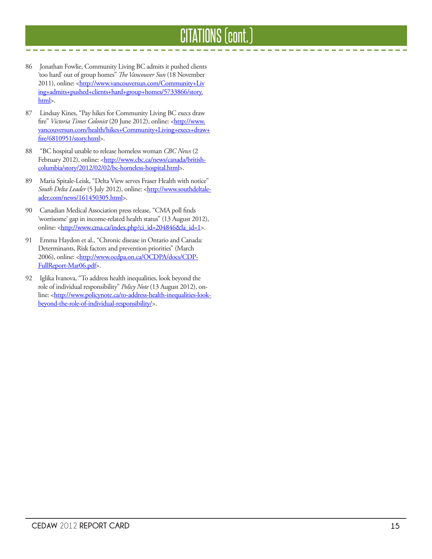# CITATIONS (cont.)

 $\frac{1}{2} \left( \frac{1}{2} \right) \left( \frac{1}{2} \right) \left( \frac{1}{2} \right) \left( \frac{1}{2} \right)$ 

- 86 Jonathan Fowlie, Community Living BC admits it pushed clients 'too hard' out of group homes" *The Vancouver Sun* (18 November 2011), online: <http://www.vancouversun.com/Community+Liv ing+admits+pushed+clients+hard+group+homes/5733866/story. html>.
- 87 Lindsay Kines, "Pay hikes for Community Living BC execs draw fire" Victoria Times Colonist (20 June 2012), online: <http://www. vancouversun.com/health/hikes+Community+Living+execs+draw+ fire/6810951/story.html>.
- 88 "BC hospital unable to release homeless woman *CBC News* (2 February 2012), online: <http://www.cbc.ca/news/canada/britishcolumbia/story/2012/02/02/bc-homeless-hospital.html>.
- 89 Maria Spitale-Leisk, "Delta View serves Fraser Health with notice" South Delta Leader (5 July 2012), online: <**http://www.southdeltale**ader.com/news/161450305.html>.
- 90 Canadian Medical Association press release, "CMA poll finds 'worrisome' gap in income-related health status" (13 August 2012), online: <http://www.cma.ca/index.php?ci\_id=204846&la\_id=1>.
- 91 Emma Haydon et al., "Chronic disease in Ontario and Canada: Determinants, Risk factors and prevention priorities" (March 2006), online: <http://www.ocdpa.on.ca/OCDPA/docs/CDP-FullReport-Mar06.pdf>.
- 92 Iglika Ivanova, "To address health inequalities, look beyond the role of individual responsibility" *Policy Note* (13 August 2012), online: <http://www.policynote.ca/to-address-health-inequalities-lookbeyond-the-role-of-individual-responsibility/>.

----